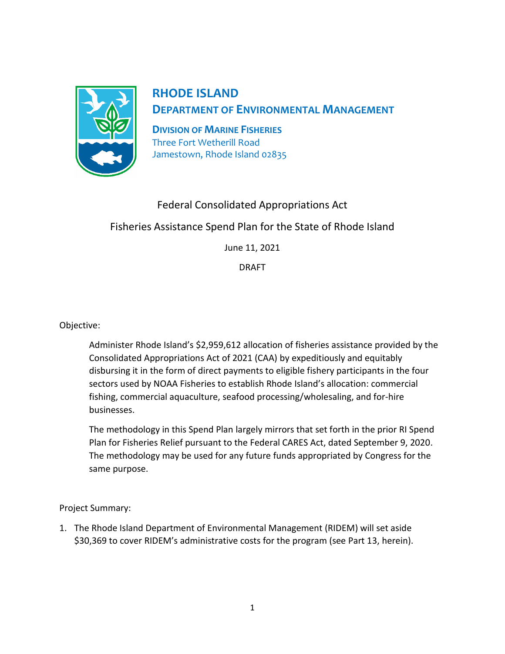

## **RHODE ISLAND**

**DEPARTMENT OF ENVIRONMENTAL MANAGEMENT**

**DIVISION OF MARINE FISHERIES** Three Fort Wetherill Road Jamestown, Rhode Island 02835

## Federal Consolidated Appropriations Act Fisheries Assistance Spend Plan for the State of Rhode Island June 11, 2021

DRAFT

Objective:

Administer Rhode Island's \$2,959,612 allocation of fisheries assistance provided by the Consolidated Appropriations Act of 2021 (CAA) by expeditiously and equitably disbursing it in the form of direct payments to eligible fishery participants in the four sectors used by NOAA Fisheries to establish Rhode Island's allocation: commercial fishing, commercial aquaculture, seafood processing/wholesaling, and for-hire businesses.

The methodology in this Spend Plan largely mirrors that set forth in the prior RI Spend Plan for Fisheries Relief pursuant to the Federal CARES Act, dated September 9, 2020. The methodology may be used for any future funds appropriated by Congress for the same purpose.

Project Summary:

1. The Rhode Island Department of Environmental Management (RIDEM) will set aside \$30,369 to cover RIDEM's administrative costs for the program (see Part 13, herein).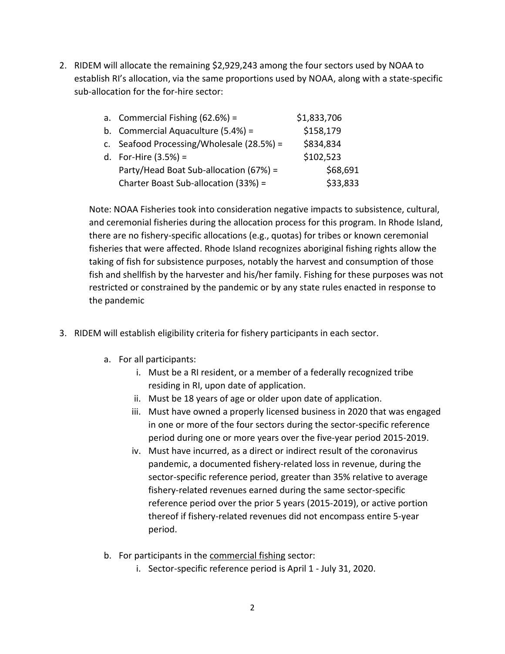2. RIDEM will allocate the remaining \$2,929,243 among the four sectors used by NOAA to establish RI's allocation, via the same proportions used by NOAA, along with a state-specific sub-allocation for the for-hire sector:

|  | a. Commercial Fishing $(62.6%) =$         | \$1,833,706 |
|--|-------------------------------------------|-------------|
|  | b. Commercial Aquaculture $(5.4%) =$      | \$158,179   |
|  | c. Seafood Processing/Wholesale (28.5%) = | \$834,834   |
|  | d. For-Hire $(3.5%) =$                    | \$102,523   |
|  | Party/Head Boat Sub-allocation (67%) =    | \$68,691    |
|  | Charter Boast Sub-allocation (33%) =      | \$33,833    |

Note: NOAA Fisheries took into consideration negative impacts to subsistence, cultural, and ceremonial fisheries during the allocation process for this program. In Rhode Island, there are no fishery-specific allocations (e.g., quotas) for tribes or known ceremonial fisheries that were affected. Rhode Island recognizes aboriginal fishing rights allow the taking of fish for subsistence purposes, notably the harvest and consumption of those fish and shellfish by the harvester and his/her family. Fishing for these purposes was not restricted or constrained by the pandemic or by any state rules enacted in response to the pandemic

- 3. RIDEM will establish eligibility criteria for fishery participants in each sector.
	- a. For all participants:
		- i. Must be a RI resident, or a member of a federally recognized tribe residing in RI, upon date of application.
		- ii. Must be 18 years of age or older upon date of application.
		- iii. Must have owned a properly licensed business in 2020 that was engaged in one or more of the four sectors during the sector-specific reference period during one or more years over the five-year period 2015-2019.
		- iv. Must have incurred, as a direct or indirect result of the coronavirus pandemic, a documented fishery-related loss in revenue, during the sector-specific reference period, greater than 35% relative to average fishery-related revenues earned during the same sector-specific reference period over the prior 5 years (2015-2019), or active portion thereof if fishery-related revenues did not encompass entire 5-year period.
	- b. For participants in the commercial fishing sector:
		- i. Sector-specific reference period is April 1 July 31, 2020.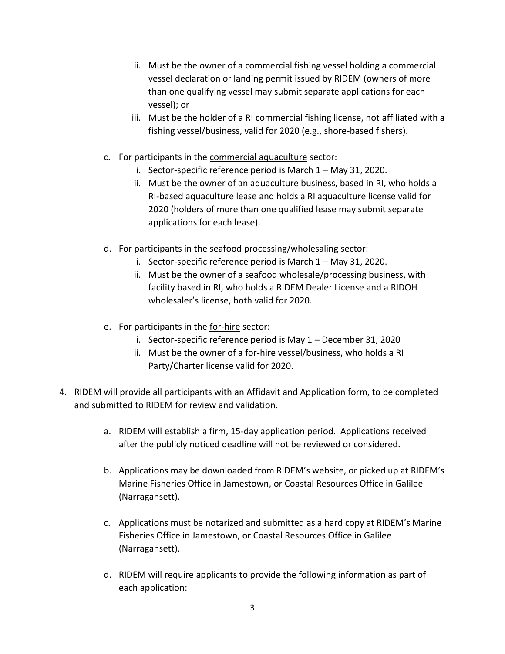- ii. Must be the owner of a commercial fishing vessel holding a commercial vessel declaration or landing permit issued by RIDEM (owners of more than one qualifying vessel may submit separate applications for each vessel); or
- iii. Must be the holder of a RI commercial fishing license, not affiliated with a fishing vessel/business, valid for 2020 (e.g., shore-based fishers).
- c. For participants in the commercial aquaculture sector:
	- i. Sector-specific reference period is March 1 May 31, 2020.
	- ii. Must be the owner of an aquaculture business, based in RI, who holds a RI-based aquaculture lease and holds a RI aquaculture license valid for 2020 (holders of more than one qualified lease may submit separate applications for each lease).
- d. For participants in the seafood processing/wholesaling sector:
	- i. Sector-specific reference period is March 1 May 31, 2020.
	- ii. Must be the owner of a seafood wholesale/processing business, with facility based in RI, who holds a RIDEM Dealer License and a RIDOH wholesaler's license, both valid for 2020.
- e. For participants in the for-hire sector:
	- i. Sector-specific reference period is May 1 December 31, 2020
	- ii. Must be the owner of a for-hire vessel/business, who holds a RI Party/Charter license valid for 2020.
- 4. RIDEM will provide all participants with an Affidavit and Application form, to be completed and submitted to RIDEM for review and validation.
	- a. RIDEM will establish a firm, 15-day application period. Applications received after the publicly noticed deadline will not be reviewed or considered.
	- b. Applications may be downloaded from RIDEM's website, or picked up at RIDEM's Marine Fisheries Office in Jamestown, or Coastal Resources Office in Galilee (Narragansett).
	- c. Applications must be notarized and submitted as a hard copy at RIDEM's Marine Fisheries Office in Jamestown, or Coastal Resources Office in Galilee (Narragansett).
	- d. RIDEM will require applicants to provide the following information as part of each application: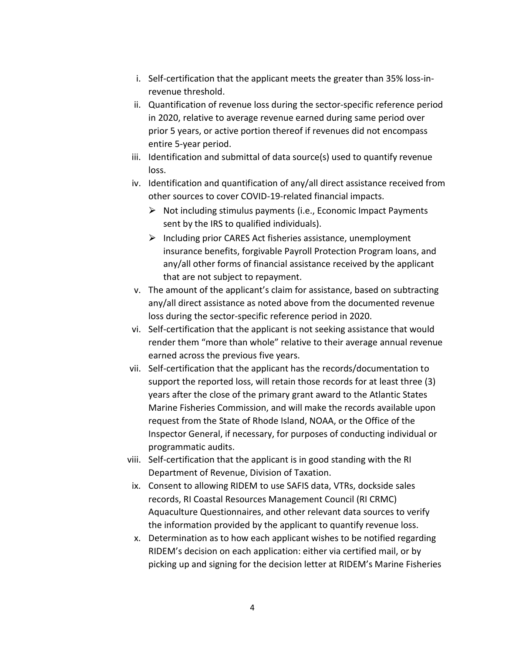- i. Self-certification that the applicant meets the greater than 35% loss-inrevenue threshold.
- ii. Quantification of revenue loss during the sector-specific reference period in 2020, relative to average revenue earned during same period over prior 5 years, or active portion thereof if revenues did not encompass entire 5-year period.
- iii. Identification and submittal of data source(s) used to quantify revenue loss.
- iv. Identification and quantification of any/all direct assistance received from other sources to cover COVID-19-related financial impacts.
	- $\triangleright$  Not including stimulus payments (i.e., Economic Impact Payments sent by the IRS to qualified individuals).
	- $\triangleright$  Including prior CARES Act fisheries assistance, unemployment insurance benefits, forgivable Payroll Protection Program loans, and any/all other forms of financial assistance received by the applicant that are not subject to repayment.
- v. The amount of the applicant's claim for assistance, based on subtracting any/all direct assistance as noted above from the documented revenue loss during the sector-specific reference period in 2020.
- vi. Self-certification that the applicant is not seeking assistance that would render them "more than whole" relative to their average annual revenue earned across the previous five years.
- vii. Self-certification that the applicant has the records/documentation to support the reported loss, will retain those records for at least three (3) years after the close of the primary grant award to the Atlantic States Marine Fisheries Commission, and will make the records available upon request from the State of Rhode Island, NOAA, or the Office of the Inspector General, if necessary, for purposes of conducting individual or programmatic audits.
- viii. Self-certification that the applicant is in good standing with the RI Department of Revenue, Division of Taxation.
- ix. Consent to allowing RIDEM to use SAFIS data, VTRs, dockside sales records, RI Coastal Resources Management Council (RI CRMC) Aquaculture Questionnaires, and other relevant data sources to verify the information provided by the applicant to quantify revenue loss.
- x. Determination as to how each applicant wishes to be notified regarding RIDEM's decision on each application: either via certified mail, or by picking up and signing for the decision letter at RIDEM's Marine Fisheries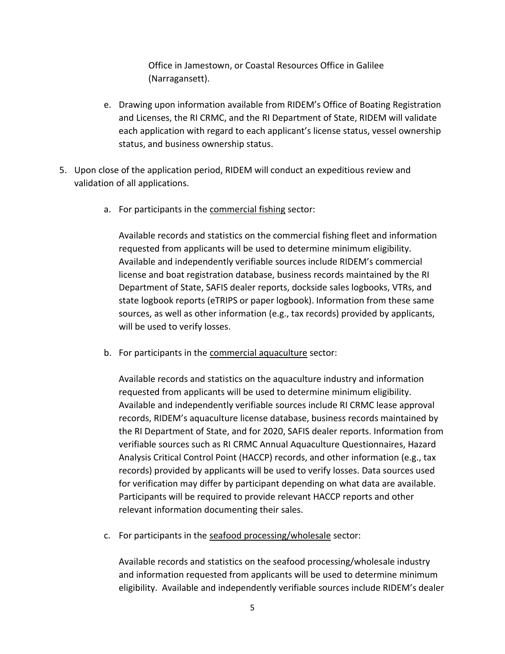Office in Jamestown, or Coastal Resources Office in Galilee (Narragansett).

- e. Drawing upon information available from RIDEM's Office of Boating Registration and Licenses, the RI CRMC, and the RI Department of State, RIDEM will validate each application with regard to each applicant's license status, vessel ownership status, and business ownership status.
- 5. Upon close of the application period, RIDEM will conduct an expeditious review and validation of all applications.
	- a. For participants in the commercial fishing sector:

Available records and statistics on the commercial fishing fleet and information requested from applicants will be used to determine minimum eligibility. Available and independently verifiable sources include RIDEM's commercial license and boat registration database, business records maintained by the RI Department of State, SAFIS dealer reports, dockside sales logbooks, VTRs, and state logbook reports (eTRIPS or paper logbook). Information from these same sources, as well as other information (e.g., tax records) provided by applicants, will be used to verify losses.

b. For participants in the commercial aquaculture sector:

Available records and statistics on the aquaculture industry and information requested from applicants will be used to determine minimum eligibility. Available and independently verifiable sources include RI CRMC lease approval records, RIDEM's aquaculture license database, business records maintained by the RI Department of State, and for 2020, SAFIS dealer reports. Information from verifiable sources such as RI CRMC Annual Aquaculture Questionnaires, Hazard Analysis Critical Control Point (HACCP) records, and other information (e.g., tax records) provided by applicants will be used to verify losses. Data sources used for verification may differ by participant depending on what data are available. Participants will be required to provide relevant HACCP reports and other relevant information documenting their sales.

c. For participants in the seafood processing/wholesale sector:

Available records and statistics on the seafood processing/wholesale industry and information requested from applicants will be used to determine minimum eligibility. Available and independently verifiable sources include RIDEM's dealer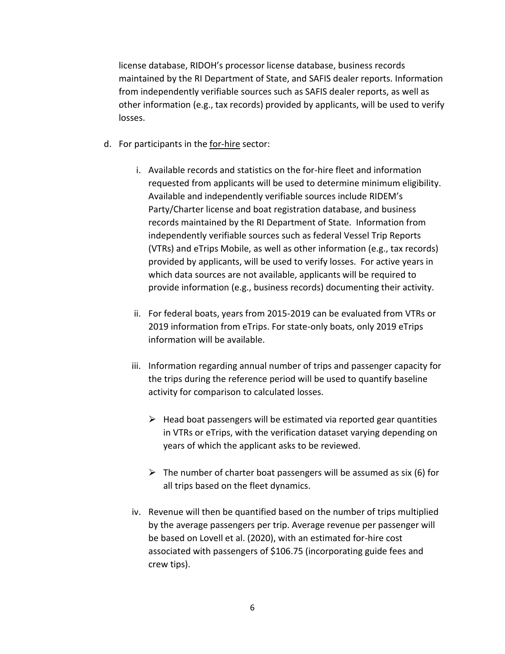license database, RIDOH's processor license database, business records maintained by the RI Department of State, and SAFIS dealer reports. Information from independently verifiable sources such as SAFIS dealer reports, as well as other information (e.g., tax records) provided by applicants, will be used to verify losses.

- d. For participants in the for-hire sector:
	- i. Available records and statistics on the for-hire fleet and information requested from applicants will be used to determine minimum eligibility. Available and independently verifiable sources include RIDEM's Party/Charter license and boat registration database, and business records maintained by the RI Department of State. Information from independently verifiable sources such as federal Vessel Trip Reports (VTRs) and eTrips Mobile, as well as other information (e.g., tax records) provided by applicants, will be used to verify losses. For active years in which data sources are not available, applicants will be required to provide information (e.g., business records) documenting their activity.
	- ii. For federal boats, years from 2015-2019 can be evaluated from VTRs or 2019 information from eTrips. For state-only boats, only 2019 eTrips information will be available.
	- iii. Information regarding annual number of trips and passenger capacity for the trips during the reference period will be used to quantify baseline activity for comparison to calculated losses.
		- $\triangleright$  Head boat passengers will be estimated via reported gear quantities in VTRs or eTrips, with the verification dataset varying depending on years of which the applicant asks to be reviewed.
		- $\triangleright$  The number of charter boat passengers will be assumed as six (6) for all trips based on the fleet dynamics.
	- iv. Revenue will then be quantified based on the number of trips multiplied by the average passengers per trip. Average revenue per passenger will be based on Lovell et al. (2020), with an estimated for-hire cost associated with passengers of \$106.75 (incorporating guide fees and crew tips).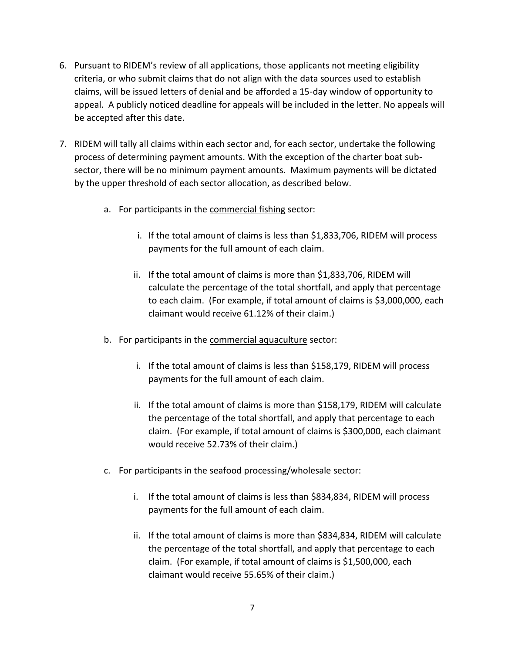- 6. Pursuant to RIDEM's review of all applications, those applicants not meeting eligibility criteria, or who submit claims that do not align with the data sources used to establish claims, will be issued letters of denial and be afforded a 15-day window of opportunity to appeal. A publicly noticed deadline for appeals will be included in the letter. No appeals will be accepted after this date.
- 7. RIDEM will tally all claims within each sector and, for each sector, undertake the following process of determining payment amounts. With the exception of the charter boat subsector, there will be no minimum payment amounts. Maximum payments will be dictated by the upper threshold of each sector allocation, as described below.
	- a. For participants in the commercial fishing sector:
		- i. If the total amount of claims is less than \$1,833,706, RIDEM will process payments for the full amount of each claim.
		- ii. If the total amount of claims is more than \$1,833,706, RIDEM will calculate the percentage of the total shortfall, and apply that percentage to each claim. (For example, if total amount of claims is \$3,000,000, each claimant would receive 61.12% of their claim.)
	- b. For participants in the commercial aquaculture sector:
		- i. If the total amount of claims is less than \$158,179, RIDEM will process payments for the full amount of each claim.
		- ii. If the total amount of claims is more than \$158,179, RIDEM will calculate the percentage of the total shortfall, and apply that percentage to each claim. (For example, if total amount of claims is \$300,000, each claimant would receive 52.73% of their claim.)
	- c. For participants in the seafood processing/wholesale sector:
		- i. If the total amount of claims is less than \$834,834, RIDEM will process payments for the full amount of each claim.
		- ii. If the total amount of claims is more than \$834,834, RIDEM will calculate the percentage of the total shortfall, and apply that percentage to each claim. (For example, if total amount of claims is \$1,500,000, each claimant would receive 55.65% of their claim.)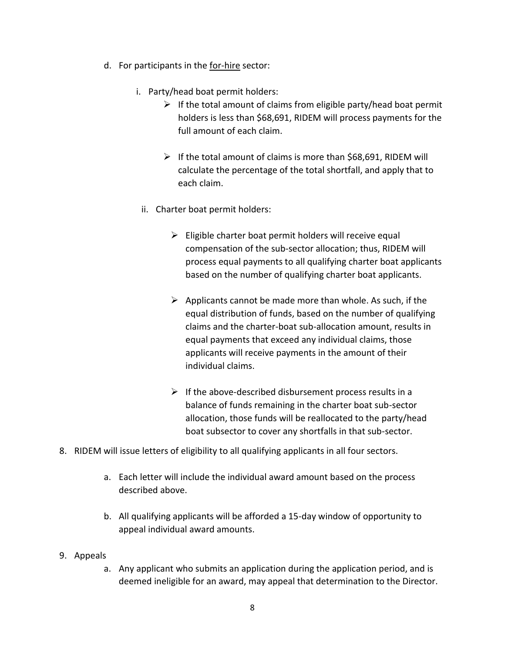- d. For participants in the for-hire sector:
	- i. Party/head boat permit holders:
		- $\triangleright$  If the total amount of claims from eligible party/head boat permit holders is less than \$68,691, RIDEM will process payments for the full amount of each claim.
		- $\triangleright$  If the total amount of claims is more than \$68,691, RIDEM will calculate the percentage of the total shortfall, and apply that to each claim.
	- ii. Charter boat permit holders:
		- $\triangleright$  Eligible charter boat permit holders will receive equal compensation of the sub-sector allocation; thus, RIDEM will process equal payments to all qualifying charter boat applicants based on the number of qualifying charter boat applicants.
		- $\triangleright$  Applicants cannot be made more than whole. As such, if the equal distribution of funds, based on the number of qualifying claims and the charter-boat sub-allocation amount, results in equal payments that exceed any individual claims, those applicants will receive payments in the amount of their individual claims.
		- $\triangleright$  If the above-described disbursement process results in a balance of funds remaining in the charter boat sub-sector allocation, those funds will be reallocated to the party/head boat subsector to cover any shortfalls in that sub-sector.
- 8. RIDEM will issue letters of eligibility to all qualifying applicants in all four sectors.
	- a. Each letter will include the individual award amount based on the process described above.
	- b. All qualifying applicants will be afforded a 15-day window of opportunity to appeal individual award amounts.
- 9. Appeals
	- a. Any applicant who submits an application during the application period, and is deemed ineligible for an award, may appeal that determination to the Director.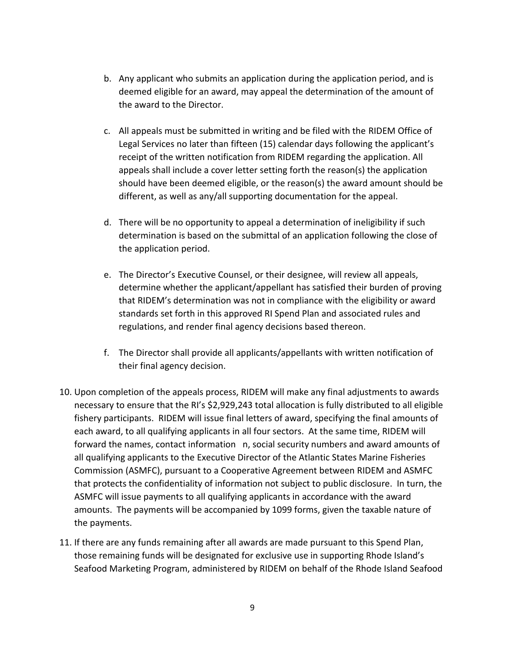- b. Any applicant who submits an application during the application period, and is deemed eligible for an award, may appeal the determination of the amount of the award to the Director.
- c. All appeals must be submitted in writing and be filed with the RIDEM Office of Legal Services no later than fifteen (15) calendar days following the applicant's receipt of the written notification from RIDEM regarding the application. All appeals shall include a cover letter setting forth the reason(s) the application should have been deemed eligible, or the reason(s) the award amount should be different, as well as any/all supporting documentation for the appeal.
- d. There will be no opportunity to appeal a determination of ineligibility if such determination is based on the submittal of an application following the close of the application period.
- e. The Director's Executive Counsel, or their designee, will review all appeals, determine whether the applicant/appellant has satisfied their burden of proving that RIDEM's determination was not in compliance with the eligibility or award standards set forth in this approved RI Spend Plan and associated rules and regulations, and render final agency decisions based thereon.
- f. The Director shall provide all applicants/appellants with written notification of their final agency decision.
- 10. Upon completion of the appeals process, RIDEM will make any final adjustments to awards necessary to ensure that the RI's \$2,929,243 total allocation is fully distributed to all eligible fishery participants. RIDEM will issue final letters of award, specifying the final amounts of each award, to all qualifying applicants in all four sectors. At the same time, RIDEM will forward the names, contact information n, social security numbers and award amounts of all qualifying applicants to the Executive Director of the Atlantic States Marine Fisheries Commission (ASMFC), pursuant to a Cooperative Agreement between RIDEM and ASMFC that protects the confidentiality of information not subject to public disclosure. In turn, the ASMFC will issue payments to all qualifying applicants in accordance with the award amounts. The payments will be accompanied by 1099 forms, given the taxable nature of the payments.
- 11. If there are any funds remaining after all awards are made pursuant to this Spend Plan, those remaining funds will be designated for exclusive use in supporting Rhode Island's Seafood Marketing Program, administered by RIDEM on behalf of the Rhode Island Seafood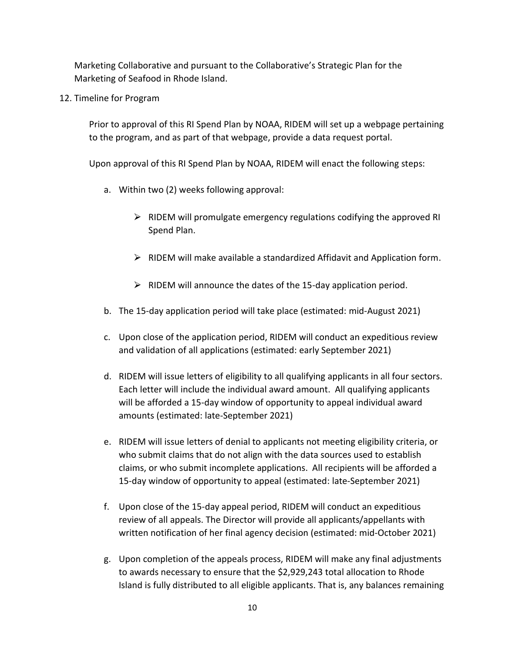Marketing Collaborative and pursuant to the Collaborative's Strategic Plan for the Marketing of Seafood in Rhode Island.

12. Timeline for Program

Prior to approval of this RI Spend Plan by NOAA, RIDEM will set up a webpage pertaining to the program, and as part of that webpage, provide a data request portal.

Upon approval of this RI Spend Plan by NOAA, RIDEM will enact the following steps:

- a. Within two (2) weeks following approval:
	- $\triangleright$  RIDEM will promulgate emergency regulations codifying the approved RI Spend Plan.
	- $\triangleright$  RIDEM will make available a standardized Affidavit and Application form.
	- $\triangleright$  RIDEM will announce the dates of the 15-day application period.
- b. The 15-day application period will take place (estimated: mid-August 2021)
- c. Upon close of the application period, RIDEM will conduct an expeditious review and validation of all applications (estimated: early September 2021)
- d. RIDEM will issue letters of eligibility to all qualifying applicants in all four sectors. Each letter will include the individual award amount. All qualifying applicants will be afforded a 15-day window of opportunity to appeal individual award amounts (estimated: late-September 2021)
- e. RIDEM will issue letters of denial to applicants not meeting eligibility criteria, or who submit claims that do not align with the data sources used to establish claims, or who submit incomplete applications. All recipients will be afforded a 15-day window of opportunity to appeal (estimated: late-September 2021)
- f. Upon close of the 15-day appeal period, RIDEM will conduct an expeditious review of all appeals. The Director will provide all applicants/appellants with written notification of her final agency decision (estimated: mid-October 2021)
- g. Upon completion of the appeals process, RIDEM will make any final adjustments to awards necessary to ensure that the \$2,929,243 total allocation to Rhode Island is fully distributed to all eligible applicants. That is, any balances remaining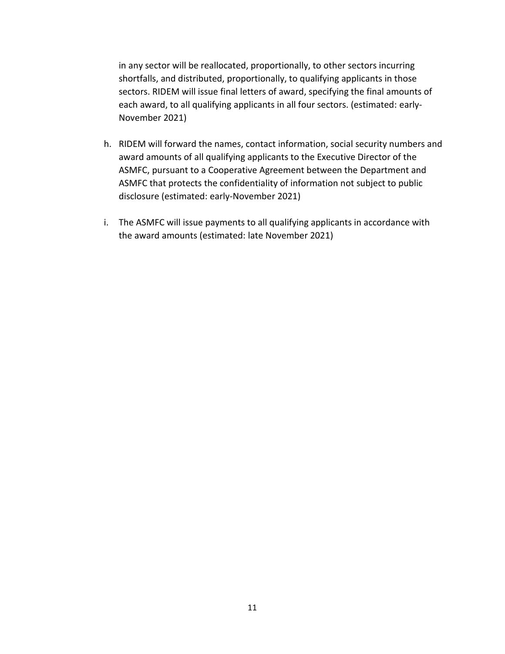in any sector will be reallocated, proportionally, to other sectors incurring shortfalls, and distributed, proportionally, to qualifying applicants in those sectors. RIDEM will issue final letters of award, specifying the final amounts of each award, to all qualifying applicants in all four sectors. (estimated: early-November 2021)

- h. RIDEM will forward the names, contact information, social security numbers and award amounts of all qualifying applicants to the Executive Director of the ASMFC, pursuant to a Cooperative Agreement between the Department and ASMFC that protects the confidentiality of information not subject to public disclosure (estimated: early-November 2021)
- i. The ASMFC will issue payments to all qualifying applicants in accordance with the award amounts (estimated: late November 2021)